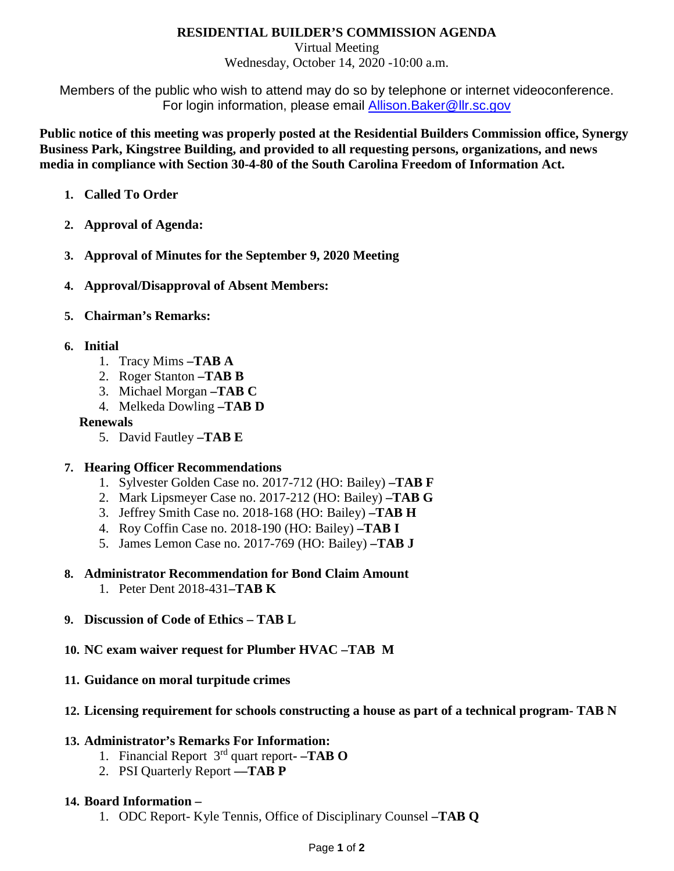### **RESIDENTIAL BUILDER'S COMMISSION AGENDA**

Virtual Meeting Wednesday, October 14, 2020 -10:00 a.m.

Members of the public who wish to attend may do so by telephone or internet videoconference. For login information, please email [Allison.Baker@llr.sc.gov](mailto:Allison.Baker@llr.sc.gov)

**Public notice of this meeting was properly posted at the Residential Builders Commission office, Synergy Business Park, Kingstree Building, and provided to all requesting persons, organizations, and news media in compliance with Section 30-4-80 of the South Carolina Freedom of Information Act.**

- **1. Called To Order**
- **2. Approval of Agenda:**
- **3. Approval of Minutes for the September 9, 2020 Meeting**
- **4. Approval/Disapproval of Absent Members:**
- **5. Chairman's Remarks:**

### **6. Initial**

- 1. Tracy Mims **–TAB A**
- 2. Roger Stanton **–TAB B**
- 3. Michael Morgan **–TAB C**
- 4. Melkeda Dowling **–TAB D**

#### **Renewals**

5. David Fautley **–TAB E**

### **7. Hearing Officer Recommendations**

- 1. Sylvester Golden Case no. 2017-712 (HO: Bailey) **–TAB F**
- 2. Mark Lipsmeyer Case no. 2017-212 (HO: Bailey) **–TAB G**
- 3. Jeffrey Smith Case no. 2018-168 (HO: Bailey) **–TAB H**
- 4. Roy Coffin Case no. 2018-190 (HO: Bailey) **–TAB I**
- 5. James Lemon Case no. 2017-769 (HO: Bailey) **–TAB J**
- **8. Administrator Recommendation for Bond Claim Amount** 
	- 1. Peter Dent 2018-431**–TAB K**

### **9. Discussion of Code of Ethics – TAB L**

- **10. NC exam waiver request for Plumber HVAC –TAB M**
- **11. Guidance on moral turpitude crimes**

### **12. Licensing requirement for schools constructing a house as part of a technical program- TAB N**

### **13. Administrator's Remarks For Information:**

- 1. Financial Report 3rd quart report**- –TAB O**
- 2. PSI Quarterly Report **––TAB P**

### **14. Board Information –**

1. ODC Report- Kyle Tennis, Office of Disciplinary Counsel **–TAB Q**